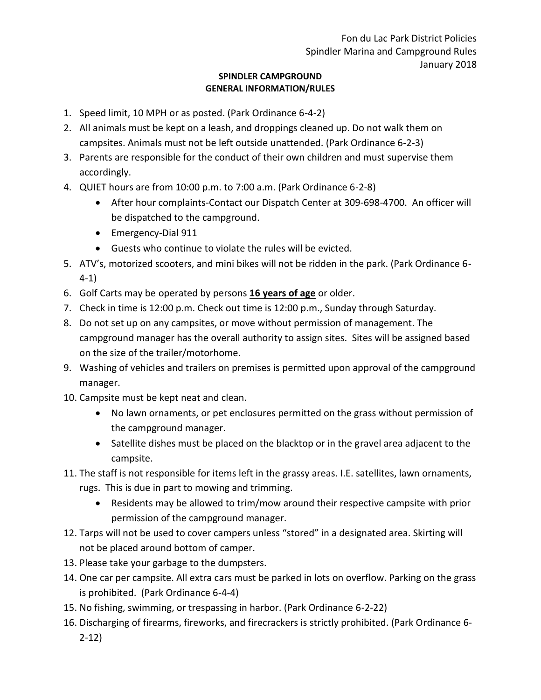## **SPINDLER CAMPGROUND GENERAL INFORMATION/RULES**

- 1. Speed limit, 10 MPH or as posted. (Park Ordinance 6-4-2)
- 2. All animals must be kept on a leash, and droppings cleaned up. Do not walk them on campsites. Animals must not be left outside unattended. (Park Ordinance 6-2-3)
- 3. Parents are responsible for the conduct of their own children and must supervise them accordingly.
- 4. QUIET hours are from 10:00 p.m. to 7:00 a.m. (Park Ordinance 6-2-8)
	- After hour complaints-Contact our Dispatch Center at 309-698-4700. An officer will be dispatched to the campground.
	- Emergency-Dial 911
	- Guests who continue to violate the rules will be evicted.
- 5. ATV's, motorized scooters, and mini bikes will not be ridden in the park. (Park Ordinance 6- 4-1)
- 6. Golf Carts may be operated by persons **16 years of age** or older.
- 7. Check in time is 12:00 p.m. Check out time is 12:00 p.m., Sunday through Saturday.
- 8. Do not set up on any campsites, or move without permission of management. The campground manager has the overall authority to assign sites. Sites will be assigned based on the size of the trailer/motorhome.
- 9. Washing of vehicles and trailers on premises is permitted upon approval of the campground manager.
- 10. Campsite must be kept neat and clean.
	- No lawn ornaments, or pet enclosures permitted on the grass without permission of the campground manager.
	- Satellite dishes must be placed on the blacktop or in the gravel area adjacent to the campsite.
- 11. The staff is not responsible for items left in the grassy areas. I.E. satellites, lawn ornaments, rugs. This is due in part to mowing and trimming.
	- Residents may be allowed to trim/mow around their respective campsite with prior permission of the campground manager.
- 12. Tarps will not be used to cover campers unless "stored" in a designated area. Skirting will not be placed around bottom of camper.
- 13. Please take your garbage to the dumpsters.
- 14. One car per campsite. All extra cars must be parked in lots on overflow. Parking on the grass is prohibited. (Park Ordinance 6-4-4)
- 15. No fishing, swimming, or trespassing in harbor. (Park Ordinance 6-2-22)
- 16. Discharging of firearms, fireworks, and firecrackers is strictly prohibited. (Park Ordinance 6- 2-12)